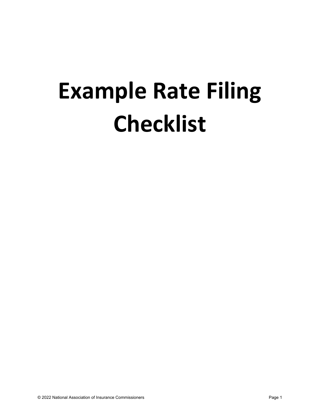## **Example Rate Filing Checklist**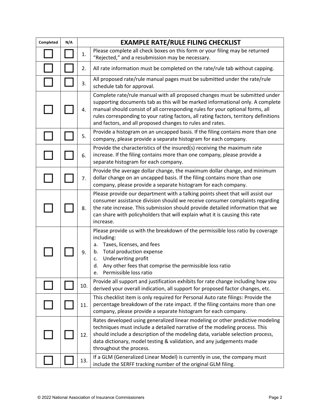| Completed | N/A | <b>EXAMPLE RATE/RULE FILING CHECKLIST</b> |                                                                                                                                                                                                                                                                                                                                                                                                      |
|-----------|-----|-------------------------------------------|------------------------------------------------------------------------------------------------------------------------------------------------------------------------------------------------------------------------------------------------------------------------------------------------------------------------------------------------------------------------------------------------------|
|           |     | 1.                                        | Please complete all check boxes on this form or your filing may be returned<br>"Rejected," and a resubmission may be necessary.                                                                                                                                                                                                                                                                      |
|           |     | 2.                                        | All rate information must be completed on the rate/rule tab without capping.                                                                                                                                                                                                                                                                                                                         |
|           |     | 3.                                        | All proposed rate/rule manual pages must be submitted under the rate/rule<br>schedule tab for approval.                                                                                                                                                                                                                                                                                              |
|           |     | 4.                                        | Complete rate/rule manual with all proposed changes must be submitted under<br>supporting documents tab as this will be marked informational only. A complete<br>manual should consist of all corresponding rules for your optional forms, all<br>rules corresponding to your rating factors, all rating factors, territory definitions<br>and factors, and all proposed changes to rules and rates. |
|           |     | 5.                                        | Provide a histogram on an uncapped basis. If the filing contains more than one<br>company, please provide a separate histogram for each company.                                                                                                                                                                                                                                                     |
|           |     | 6.                                        | Provide the characteristics of the insured(s) receiving the maximum rate<br>increase. If the filing contains more than one company, please provide a<br>separate histogram for each company.                                                                                                                                                                                                         |
|           |     | 7.                                        | Provide the average dollar change, the maximum dollar change, and minimum<br>dollar change on an uncapped basis. If the filing contains more than one<br>company, please provide a separate histogram for each company.                                                                                                                                                                              |
|           |     | 8.                                        | Please provide our department with a talking points sheet that will assist our<br>consumer assistance division should we receive consumer complaints regarding<br>the rate increase. This submission should provide detailed information that we<br>can share with policyholders that will explain what it is causing this rate<br>increase.                                                         |
|           |     | 9.                                        | Please provide us with the breakdown of the permissible loss ratio by coverage<br>including:<br>Taxes, licenses, and fees<br>a.<br>Total production expense<br>b.<br>Underwriting profit<br>c.<br>Any other fees that comprise the permissible loss ratio<br>d.<br>e. Permissible loss ratio                                                                                                         |
|           |     | 10.                                       | Provide all support and justification exhibits for rate change including how you<br>derived your overall indication, all support for proposed factor changes, etc.                                                                                                                                                                                                                                   |
|           |     | 11.                                       | This checklist item is only required for Personal Auto rate filings: Provide the<br>percentage breakdown of the rate impact. If the filing contains more than one<br>company, please provide a separate histogram for each company.                                                                                                                                                                  |
|           |     | 12.                                       | Rates developed using generalized linear modeling or other predictive modeling<br>techniques must include a detailed narrative of the modeling process. This<br>should include a description of the modeling data, variable selection process,<br>data dictionary, model testing & validation, and any judgements made<br>throughout the process.                                                    |
|           |     | 13.                                       | If a GLM (Generalized Linear Model) is currently in use, the company must<br>include the SERFF tracking number of the original GLM filing.                                                                                                                                                                                                                                                           |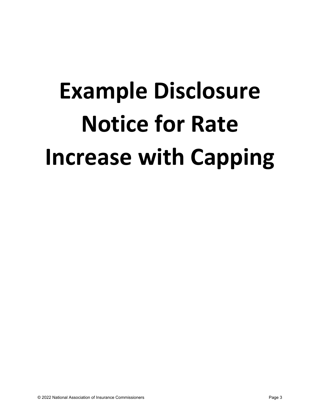# **Example Disclosure Notice for Rate Increase with Capping**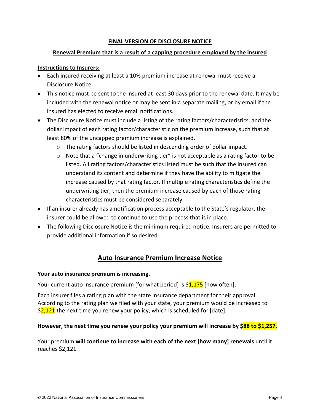## **FINAL VERSION OF DISCLOSURE NOTICE**

## **Renewal Premium that is a result of a capping procedure employed by the insured**

## **Instructions to Insurers:**

- Each insured receiving at least a 10% premium increase at renewal must receive a Disclosure Notice.
- This notice must be sent to the insured at least 30 days prior to the renewal date. It may be included with the renewal notice or may be sent in a separate mailing, or by email if the insured has elected to receive email notifications.
- The Disclosure Notice must include a listing of the rating factors/characteristics, and the dollar impact of each rating factor/characteristic on the premium increase, such that at least 80% of the uncapped premium increase is explained.
	- o The rating factors should be listed in descending order of dollar impact.
	- $\circ$  Note that a "change in underwriting tier" is not acceptable as a rating factor to be listed. All rating factors/characteristics listed must be such that the insured can understand its content and determine if they have the ability to mitigate the increase caused by that rating factor. If multiple rating characteristics define the underwriting tier, then the premium increase caused by each of those rating characteristics must be considered separately.
- If an insurer already has a notification process acceptable to the State's regulator, the insurer could be allowed to continue to use the process that is in place.
- The following Disclosure Notice is the minimum required notice. Insurers are permitted to provide additional information if so desired.

## **Auto Insurance Premium Increase Notice**

## **Your auto insurance premium is increasing.**

Your current auto insurance premium [for what period] is  $\frac{1,175}{1}$  [how often].

Each insurer files a rating plan with the state insurance department for their approval. According to the rating plan we filed with your state, your premium would be increased to  $\frac{2,121}{2}$  the next time you renew your policy, which is scheduled for [date].

## **However**, **the next time you renew your policy your premium will increase by \$88 to \$1,257.**

Your premium **will continue to increase with each of the next [how many] renewals** until it reaches \$2,121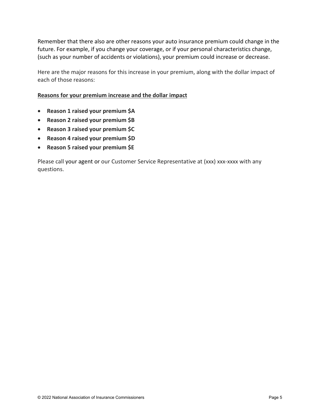Remember that there also are other reasons your auto insurance premium could change in the future. For example, if you change your coverage, or if your personal characteristics change, (such as your number of accidents or violations), your premium could increase or decrease.

Here are the major reasons for this increase in your premium, along with the dollar impact of each of those reasons:

## **Reasons for your premium increase and the dollar impact**

- **Reason 1 raised your premium \$A**
- **Reason 2 raised your premium \$B**
- **Reason 3 raised your premium \$C**
- **Reason 4 raised your premium \$D**
- **Reason 5 raised your premium \$E**

Please call your agent or our Customer Service Representative at (xxx) xxx-xxxx with any questions.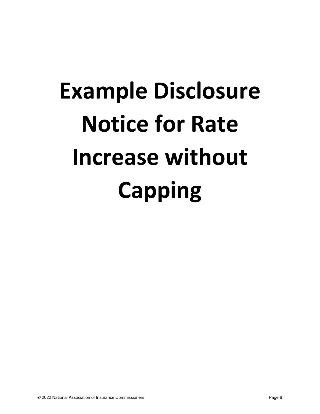# **Example Disclosure Notice for Rate Increase without Capping**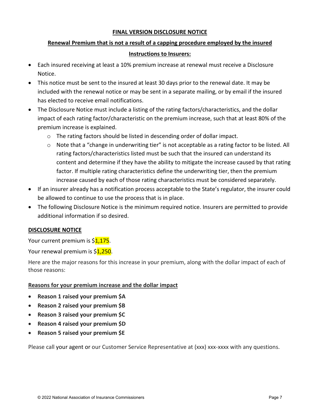## **FINAL VERSION DISCLOSURE NOTICE**

## **Renewal Premium that is not a result of a capping procedure employed by the insured**

## **Instructions to Insurers:**

- Each insured receiving at least a 10% premium increase at renewal must receive a Disclosure Notice.
- This notice must be sent to the insured at least 30 days prior to the renewal date. It may be included with the renewal notice or may be sent in a separate mailing, or by email if the insured has elected to receive email notifications.
- The Disclosure Notice must include a listing of the rating factors/characteristics, and the dollar impact of each rating factor/characteristic on the premium increase, such that at least 80% of the premium increase is explained.
	- o The rating factors should be listed in descending order of dollar impact.
	- $\circ$  Note that a "change in underwriting tier" is not acceptable as a rating factor to be listed. All rating factors/characteristics listed must be such that the insured can understand its content and determine if they have the ability to mitigate the increase caused by that rating factor. If multiple rating characteristics define the underwriting tier, then the premium increase caused by each of those rating characteristics must be considered separately.
- If an insurer already has a notification process acceptable to the State's regulator, the insurer could be allowed to continue to use the process that is in place.
- The following Disclosure Notice is the minimum required notice. Insurers are permitted to provide additional information if so desired.

## **DISCLOSURE NOTICE**

Your current premium is \$1,175.

Your renewal premium is \$1,250.

Here are the major reasons for this increase in your premium, along with the dollar impact of each of those reasons:

## **Reasons for your premium increase and the dollar impact**

- **Reason 1 raised your premium \$A**
- **Reason 2 raised your premium \$B**
- **Reason 3 raised your premium \$C**
- **Reason 4 raised your premium \$D**
- **Reason 5 raised your premium \$E**

Please call your agent or our Customer Service Representative at (xxx) xxx-xxxx with any questions.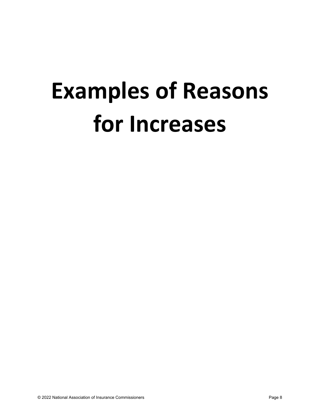## **Examples of Reasons for Increases**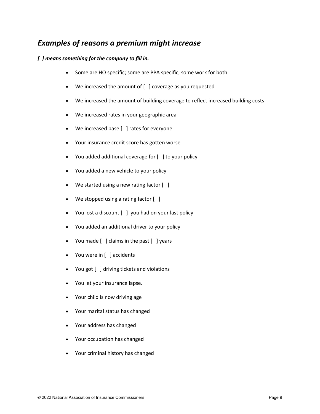## *Examples of reasons a premium might increase*

## *[ ] means something for the company to fill in.*

- Some are HO specific; some are PPA specific, some work for both
- We increased the amount of  $[$   $]$  coverage as you requested
- We increased the amount of building coverage to reflect increased building costs
- We increased rates in your geographic area
- We increased base [ ] rates for everyone
- Your insurance credit score has gotten worse
- You added additional coverage for [ ] to your policy
- You added a new vehicle to your policy
- We started using a new rating factor  $[ ]$
- We stopped using a rating factor [ ]
- You lost a discount [ ] you had on your last policy
- You added an additional driver to your policy
- You made [ ] claims in the past [ ] years
- You were in [ ] accidents
- You got [ ] driving tickets and violations
- You let your insurance lapse.
- Your child is now driving age
- Your marital status has changed
- Your address has changed
- Your occupation has changed
- Your criminal history has changed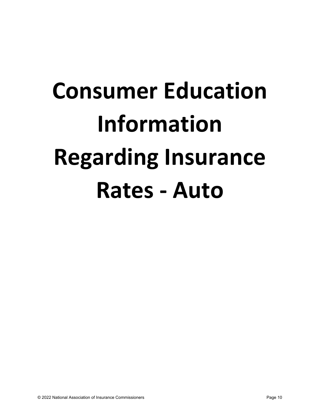# **Consumer Education Information Regarding Insurance Rates - Auto**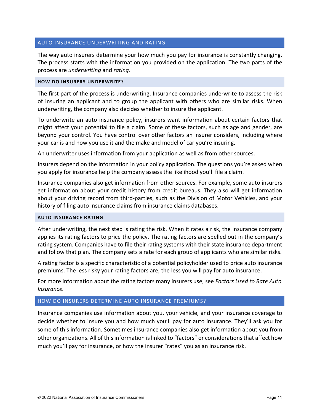## AUTO INSURANCE UNDERWRITING AND RATING

The way auto insurers determine your how much you pay for insurance is constantly changing. The process starts with the information you provided on the application. The two parts of the process are *underwriting* and *rating*.

## **HOW DO INSURERS UNDERWRITE?**

The first part of the process is underwriting. Insurance companies underwrite to assess the risk of insuring an applicant and to group the applicant with others who are similar risks. When underwriting, the company also decides whether to insure the applicant.

To underwrite an auto insurance policy, insurers want information about certain factors that might affect your potential to file a claim. Some of these factors, such as age and gender, are beyond your control. You have control over other factors an insurer considers, including where your car is and how you use it and the make and model of car you're insuring.

An underwriter uses information from your application as well as from other sources.

Insurers depend on the information in your policy application. The questions you're asked when you apply for insurance help the company assess the likelihood you'll file a claim.

Insurance companies also get information from other sources. For example, some auto insurers get information about your credit history from credit bureaus. They also will get information about your driving record from third-parties, such as the Division of Motor Vehicles, and your history of filing auto insurance claims from insurance claims databases.

## **AUTO INSURANCE RATING**

After underwriting, the next step is rating the risk. When it rates a risk, the insurance company applies its rating factors to price the policy. The rating factors are spelled out in the company's rating system. Companies have to file their rating systems with their state insurance department and follow that plan. The company sets a rate for each group of applicants who are similar risks.

A rating factor is a specific characteristic of a potential policyholder used to price auto insurance premiums. The less risky your rating factors are, the less you will pay for auto insurance.

For more information about the rating factors many insurers use, see *Factors Used to Rate Auto Insurance.*

## HOW DO INSURERS DETERMINE AUTO INSURANCE PREMIUMS?

Insurance companies use information about you, your vehicle, and your insurance coverage to decide whether to insure you and how much you'll pay for auto insurance. They'll ask you for some of this information. Sometimes insurance companies also get information about you from other organizations. All of this information is linked to "factors" or considerations that affect how much you'll pay for insurance, or how the insurer "rates" you as an insurance risk.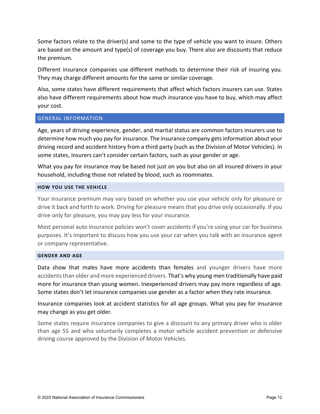Some factors relate to the driver(s) and some to the type of vehicle you want to insure. Others are based on the amount and type(s) of coverage you buy. There also are discounts that reduce the premium.

Different insurance companies use different methods to determine their risk of insuring you. They may charge different amounts for the same or similar coverage.

Also, some states have different requirements that affect which factors insurers can use. States also have different requirements about how much insurance you have to buy, which may affect your cost.

## GENERAL INFORMATION

Age, years of driving experience, gender, and marital status are common factors insurers use to determine how much you pay for insurance. The insurance company getsinformation about your driving record and accident history from a third party (such as the Division of Motor Vehicles). In some states, insurers can't consider certain factors, such as your gender or age.

What you pay for insurance may be based not just on you but also on all insured drivers in your household, including those not related by blood, such as roommates.

## **HOW YOU USE THE VEHICLE**

Your insurance premium may vary based on whether you use your vehicle only for pleasure or drive it back and forth to work. Driving for pleasure means that you drive only occasionally. If you drive only for pleasure, you may pay less for your insurance.

Most personal auto insurance policies won't cover accidents if you're using your car for business purposes. It's important to discuss how you use your car when you talk with an insurance agent or company representative.

## **GENDER AND AGE**

Data show that males have more accidents than females and younger drivers have more accidents than older and more experienced drivers. That's why young men traditionally have paid more for insurance than young women. Inexperienced drivers may pay more regardless of age. Some states don't let insurance companies use gender as a factor when they rate insurance.

Insurance companies look at accident statistics for all age groups. What you pay for insurance may change as you get older.

Some states require insurance companies to give a discount to any primary driver who is older than age 55 and who voluntarily completes a motor vehicle accident prevention or defensive driving course approved by the Division of Motor Vehicles.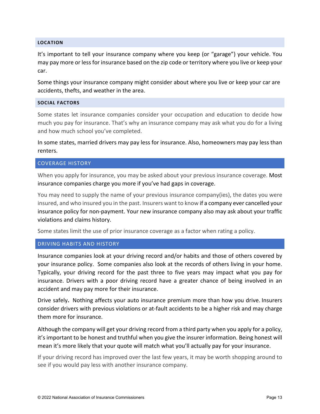## **LOCATION**

It's important to tell your insurance company where you keep (or "garage") your vehicle. You may pay more or less for insurance based on the zip code or territory where you live or keep your car.

Some things your insurance company might consider about where you live or keep your car are accidents, thefts, and weather in the area.

## **SOCIAL FACTORS**

Some states let insurance companies consider your occupation and education to decide how much you pay for insurance. That's why an insurance company may ask what you do for a living and how much school you've completed.

In some states, married drivers may pay less for insurance. Also, homeowners may pay less than renters.

## COVERAGE HISTORY

When you apply for insurance, you may be asked about your previous insurance coverage. Most insurance companies charge you more if you've had gaps in coverage.

You may need to supply the name of your previous insurance company(ies), the dates you were insured, and who insured you in the past. Insurers want to know if a company ever cancelled your insurance policy for non-payment. Your new insurance company also may ask about your traffic violations and claims history.

Some states limit the use of prior insurance coverage as a factor when rating a policy.

## DRIVING HABITS AND HISTORY

Insurance companies look at your driving record and/or habits and those of others covered by your insurance policy. Some companies also look at the records of others living in your home. Typically, your driving record for the past three to five years may impact what you pay for insurance. Drivers with a poor driving record have a greater chance of being involved in an accident and may pay more for their insurance.

Drive safely**.** Nothing affects your auto insurance premium more than how you drive. Insurers consider drivers with previous violations or at-fault accidents to be a higher risk and may charge them more for insurance.

Although the company will get your driving record from a third party when you apply for a policy, it's important to be honest and truthful when you give the insurer information. Being honest will mean it's more likely that your quote will match what you'll actually pay for your insurance.

If your driving record has improved over the last few years, it may be worth shopping around to see if you would pay less with another insurance company.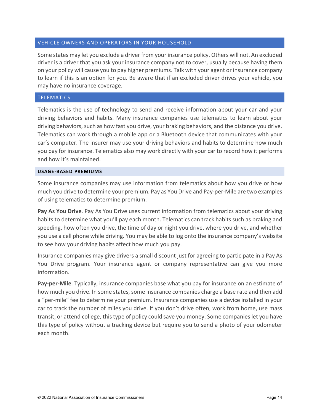## VEHICLE OWNERS AND OPERATORS IN YOUR HOUSEHOLD

Some states may let you exclude a driver from your insurance policy. Others will not. An excluded driver is a driver that you ask your insurance company not to cover, usually because having them on your policy will cause you to pay higher premiums. Talk with your agent or insurance company to learn if this is an option for you. Be aware that if an excluded driver drives your vehicle, you may have no insurance coverage.

## **TELEMATICS**

Telematics is the use of technology to send and receive information about your car and your driving behaviors and habits. Many insurance companies use telematics to learn about your driving behaviors, such as how fast you drive, your braking behaviors, and the distance you drive. Telematics can work through a mobile app or a Bluetooth device that communicates with your car's computer. The insurer may use your driving behaviors and habits to determine how much you pay for insurance. Telematics also may work directly with your car to record how it performs and how it's maintained.

## **USAGE-BASED PREMIUMS**

Some insurance companies may use information from telematics about how you drive or how much you drive to determine your premium. Pay as You Drive and Pay-per-Mile are two examples of using telematics to determine premium.

**Pay As You Drive**. Pay As You Drive uses current information from telematics about your driving habits to determine what you'll pay each month. Telematics can track habits such as braking and speeding, how often you drive, the time of day or night you drive, where you drive, and whether you use a cell phone while driving. You may be able to log onto the insurance company's website to see how your driving habits affect how much you pay.

Insurance companies may give drivers a small discount just for agreeing to participate in a Pay As You Drive program. Your insurance agent or company representative can give you more information.

**Pay-per-Mile**. Typically, insurance companies base what you pay for insurance on an estimate of how much you drive. In some states, some insurance companies charge a base rate and then add a "per-mile" fee to determine your premium. Insurance companies use a device installed in your car to track the number of miles you drive. If you don't drive often, work from home, use mass transit, or attend college, this type of policy could save you money. Some companies let you have this type of policy without a tracking device but require you to send a photo of your odometer each month.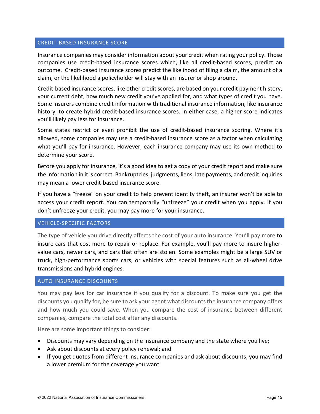## CREDIT-BASED INSURANCE SCORE

Insurance companies may consider information about your credit when rating your policy. Those companies use credit-based insurance scores which, like all credit-based scores, predict an outcome. Credit-based insurance scores predict the likelihood of filing a claim, the amount of a claim, or the likelihood a policyholder will stay with an insurer or shop around.

Credit-based insurance scores, like other credit scores, are based on your credit payment history, your current debt, how much new credit you've applied for, and what types of credit you have. Some insurers combine credit information with traditional insurance information, like insurance history, to create hybrid credit-based insurance scores. In either case, a higher score indicates you'll likely pay less for insurance.

Some states restrict or even prohibit the use of credit-based insurance scoring. Where it's allowed, some companies may use a credit-based insurance score as a factor when calculating what you'll pay for insurance. However, each insurance company may use its own method to determine your score.

Before you apply for insurance, it's a good idea to get a copy of your credit report and make sure the information in it is correct. Bankruptcies, judgments, liens, late payments, and credit inquiries may mean a lower credit-based insurance score.

If you have a "freeze" on your credit to help prevent identity theft, an insurer won't be able to access your credit report. You can temporarily "unfreeze" your credit when you apply. If you don't unfreeze your credit, you may pay more for your insurance.

## VEHICLE-SPECIFIC FACTORS

The type of vehicle you drive directly affects the cost of your auto insurance. You'll pay more to insure cars that cost more to repair or replace. For example, you'll pay more to insure highervalue cars, newer cars, and cars that often are stolen. Some examples might be a large SUV or truck, high-performance sports cars, or vehicles with special features such as all-wheel drive transmissions and hybrid engines.

## AUTO INSURANCE DISCOUNTS

You may pay less for car insurance if you qualify for a discount. To make sure you get the discounts you qualify for, be sure to ask your agent what discounts the insurance company offers and how much you could save. When you compare the cost of insurance between different companies, compare the total cost after any discounts.

Here are some important things to consider:

- Discounts may vary depending on the insurance company and the state where you live;
- Ask about discounts at every policy renewal; and
- If you get quotes from different insurance companies and ask about discounts, you may find a lower premium for the coverage you want.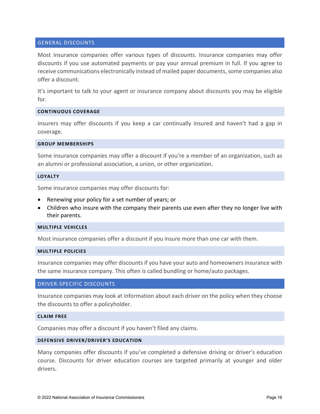## GENERAL DISCOUNTS

Most insurance companies offer various types of discounts. Insurance companies may offer discounts if you use automated payments or pay your annual premium in full. If you agree to receive communications electronically instead of mailed paper documents, some companies also offer a discount.

It's important to talk to your agent or insurance company about discounts you may be eligible for.

## **CONTINUOUS COVERAGE**

Insurers may offer discounts if you keep a car continually insured and haven't had a gap in coverage.

## **GROUP MEMBERSHIPS**

Some insurance companies may offer a discount if you're a member of an organization, such as an alumni or professional association, a union, or other organization.

#### **LOYALTY**

Some insurance companies may offer discounts for:

- Renewing your policy for a set number of years; or
- Children who insure with the company their parents use even after they no longer live with their parents.

## **MULTIPLE VEHICLES**

Most insurance companies offer a discount if you insure more than one car with them.

## **MULTIPLE POLICIES**

Insurance companies may offer discounts if you have your auto and homeowners insurance with the same insurance company. This often is called bundling or home/auto packages.

## DRIVER-SPECIFIC DISCOUNTS

Insurance companies may look at information about each driver on the policy when they choose the discounts to offer a policyholder.

## **CLAIM FREE**

Companies may offer a discount if you haven't filed any claims.

## **DEFENSIVE DRIVER/DRIVER'S EDUCATION**

Many companies offer discounts if you've completed a defensive driving or driver's education course. Discounts for driver education courses are targeted primarily at younger and older drivers.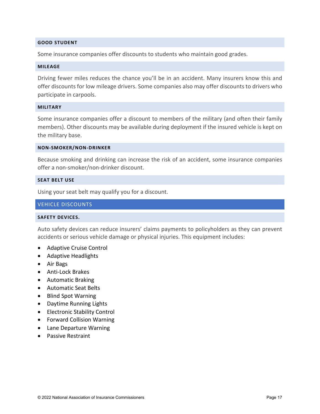## **GOOD STUDENT**

Some insurance companies offer discounts to students who maintain good grades.

#### **MILEAGE**

Driving fewer miles reduces the chance you'll be in an accident. Many insurers know this and offer discounts for low mileage drivers. Some companies also may offer discounts to drivers who participate in carpools.

## **MILITARY**

Some insurance companies offer a discount to members of the military (and often their family members). Other discounts may be available during deployment if the insured vehicle is kept on the military base.

#### **NON-SMOKER/NON-DRINKER**

Because smoking and drinking can increase the risk of an accident, some insurance companies offer a non-smoker/non-drinker discount.

#### **SEAT BELT USE**

Using your seat belt may qualify you for a discount.

## VEHICLE DISCOUNTS

## **SAFETY DEVICES.**

Auto safety devices can reduce insurers' claims payments to policyholders as they can prevent accidents or serious vehicle damage or physical injuries. This equipment includes:

- Adaptive Cruise Control
- Adaptive Headlights
- Air Bags
- Anti-Lock Brakes
- Automatic Braking
- Automatic Seat Belts
- Blind Spot Warning
- Daytime Running Lights
- Electronic Stability Control
- Forward Collision Warning
- Lane Departure Warning
- Passive Restraint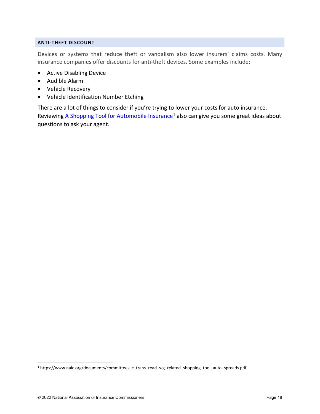## **ANTI-THEFT DISCOUNT**

Devices or systems that reduce theft or vandalism also lower insurers' claims costs. Many insurance companies offer discounts for anti-theft devices. Some examples include:

- Active Disabling Device
- Audible Alarm
- Vehicle Recovery
- Vehicle Identification Number Etching

There are a lot of things to consider if you're trying to lower your costs for auto insurance. Reviewin[g A Shopping Tool for Automobile Insurance](https://www.naic.org/documents/committees_c_trans_read_wg_related_shopping_tool_auto_spreads.pdf)<sup>[1](#page-17-0)</sup> also can give you some great ideas about questions to ask your agent.

<span id="page-17-0"></span><sup>1</sup> https://www.naic.org/documents/committees\_c\_trans\_read\_wg\_related\_shopping\_tool\_auto\_spreads.pdf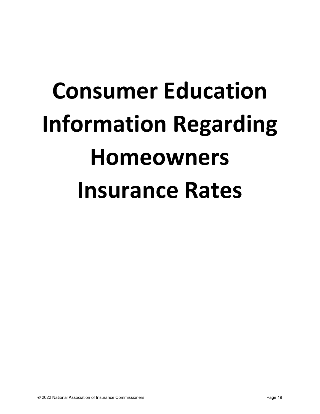# **Consumer Education Information Regarding Homeowners Insurance Rates**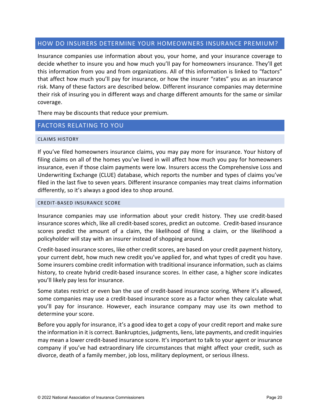## HOW DO INSURERS DETERMINE YOUR HOMEOWNERS INSURANCE PREMIUM?

Insurance companies use information about you, your home, and your insurance coverage to decide whether to insure you and how much you'll pay for homeowners insurance. They'll get this information from you and from organizations. All of this information is linked to "factors" that affect how much you'll pay for insurance, or how the insurer "rates" you as an insurance risk. Many of these factors are described below. Different insurance companies may determine their risk of insuring you in different ways and charge different amounts for the same or similar coverage.

There may be discounts that reduce your premium.

## FACTORS RELATING TO YOU

## CLAIMS HISTORY

If you've filed homeowners insurance claims, you may pay more for insurance. Your history of filing claims on all of the homes you've lived in will affect how much you pay for homeowners insurance, even if those claim payments were low. Insurers access the Comprehensive Loss and Underwriting Exchange (CLUE) database, which reports the number and types of claims you've filed in the last five to seven years. Different insurance companies may treat claims information differently, so it's always a good idea to shop around.

## CREDIT-BASED INSURANCE SCORE

Insurance companies may use information about your credit history. They use credit-based insurance scores which, like all credit-based scores, predict an outcome. Credit-based insurance scores predict the amount of a claim, the likelihood of filing a claim, or the likelihood a policyholder will stay with an insurer instead of shopping around.

Credit-based insurance scores, like other credit scores, are based on your credit payment history, your current debt, how much new credit you've applied for, and what types of credit you have. Some insurers combine credit information with traditional insurance information, such as claims history, to create hybrid credit-based insurance scores. In either case, a higher score indicates you'll likely pay less for insurance.

Some states restrict or even ban the use of credit-based insurance scoring. Where it's allowed, some companies may use a credit-based insurance score as a factor when they calculate what you'll pay for insurance. However, each insurance company may use its own method to determine your score.

Before you apply for insurance, it's a good idea to get a copy of your credit report and make sure the information in it is correct. Bankruptcies, judgments, liens, late payments, and credit inquiries may mean a lower credit-based insurance score. It's important to talk to your agent or insurance company if you've had extraordinary life circumstances that might affect your credit, such as divorce, death of a family member, job loss, military deployment, or serious illness.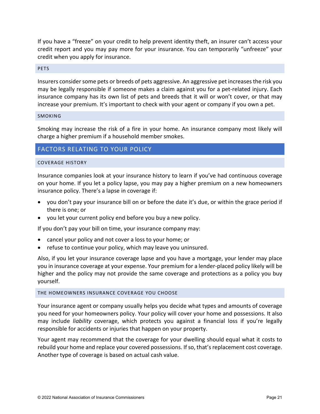If you have a "freeze" on your credit to help prevent identity theft, an insurer can't access your credit report and you may pay more for your insurance. You can temporarily "unfreeze" your credit when you apply for insurance.

## **PETS**

Insurers consider some pets or breeds of pets aggressive. An aggressive pet increasesthe risk you may be legally responsible if someone makes a claim against you for a pet-related injury. Each insurance company has its own list of pets and breeds that it will or won't cover, or that may increase your premium. It's important to check with your agent or company if you own a pet.

## SMOKING

Smoking may increase the risk of a fire in your home. An insurance company most likely will charge a higher premium if a household member smokes.

## FACTORS RELATING TO YOUR POLICY

## COVERAGE HISTORY

Insurance companies look at your insurance history to learn if you've had continuous coverage on your home. If you let a policy lapse, you may pay a higher premium on a new homeowners insurance policy. There's a lapse in coverage if:

- you don't pay your insurance bill on or before the date it's due, or within the grace period if there is one; or
- you let your current policy end before you buy a new policy.

If you don't pay your bill on time, your insurance company may:

- cancel your policy and not cover a loss to your home; or
- refuse to continue your policy, which may leave you uninsured.

Also, if you let your insurance coverage lapse and you have a mortgage, your lender may place you in insurance coverage at your expense. Your premium for a lender-placed policy likely will be higher and the policy may not provide the same coverage and protections as a policy you buy yourself.

## THE HOMEOWNERS INSURANCE COVERAGE YOU CHOOSE

Your insurance agent or company usually helps you decide what types and amounts of coverage you need for your homeowners policy. Your policy will cover your home and possessions. It also may include *liability* coverage, which protects you against a financial loss if you're legally responsible for accidents or injuries that happen on your property.

Your agent may recommend that the coverage for your dwelling should equal what it costs to rebuild your home and replace your covered possessions. If so, that's replacement cost coverage. Another type of coverage is based on actual cash value.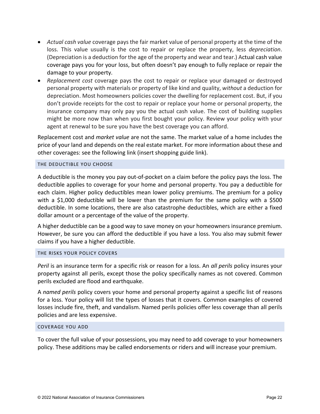- *Actual cash value* coverage pays the fair market value of personal property at the time of the loss. This value usually is the cost to repair or replace the property, less *depreciation*. (Depreciation is a deduction for the age of the property and wear and tear.) Actual cash value coverage pays you for your loss, but often doesn't pay enough to fully replace or repair the damage to your property.
- *Replacement cost* coverage pays the cost to repair or replace your damaged or destroyed personal property with materials or property of like kind and quality, *without* a deduction for depreciation. Most homeowners policies cover the dwelling for replacement cost. But, if you don't provide receipts for the cost to repair or replace your home or personal property, the insurance company may only pay you the actual cash value. The cost of building supplies might be more now than when you first bought your policy. Review your policy with your agent at renewal to be sure you have the best coverage you can afford.

Replacement cost and *market value* are not the same. The market value of a home includes the price of your land and depends on the real estate market. For more information about these and other coverages: see the following link (insert shopping guide link).

## THE DEDUCTIBLE YOU CHOOSE

A deductible is the money you pay out-of-pocket on a claim before the policy pays the loss. The deductible applies to coverage for your home and personal property. You pay a deductible for each claim. Higher policy deductibles mean lower policy premiums. The premium for a policy with a \$1,000 deductible will be lower than the premium for the same policy with a \$500 deductible. In some locations, there are also catastrophe deductibles, which are either a fixed dollar amount or a percentage of the value of the property.

A higher deductible can be a good way to save money on your homeowners insurance premium. However, be sure you can afford the deductible if you have a loss. You also may submit fewer claims if you have a higher deductible.

## THE RISKS YOUR POLICY COVERS

*Peril* is an insurance term for a specific risk or reason for a loss. An *all perils* policy insures your property against all perils, except those the policy specifically names as not covered. Common perils excluded are flood and earthquake.

A *named perils* policy covers your home and personal property against a specific list of reasons for a loss. Your policy will list the types of losses that it covers. Common examples of covered losses include fire, theft, and vandalism. Named perils policies offer less coverage than all perils policies and are less expensive.

## COVERAGE YOU ADD

To cover the full value of your possessions, you may need to add coverage to your homeowners policy. These additions may be called endorsements or riders and will increase your premium.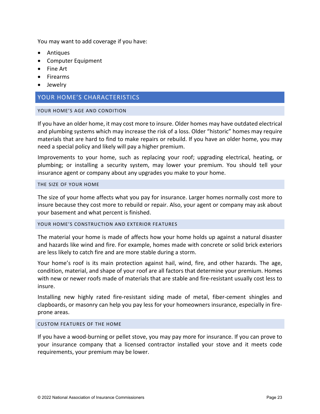You may want to add coverage if you have:

- Antiques
- Computer Equipment
- Fine Art
- Firearms
- Jewelry

## YOUR HOME'S CHARACTERISTICS

## YOUR HOME'S AGE AND CONDITION

If you have an older home, it may cost more to insure. Older homes may have outdated electrical and plumbing systems which may increase the risk of a loss. Older "historic" homes may require materials that are hard to find to make repairs or rebuild. If you have an older home, you may need a special policy and likely will pay a higher premium.

Improvements to your home, such as replacing your roof; upgrading electrical, heating, or plumbing; or installing a security system, may lower your premium. You should tell your insurance agent or company about any upgrades you make to your home.

## THE SIZE OF YOUR HOME

The size of your home affects what you pay for insurance. Larger homes normally cost more to insure because they cost more to rebuild or repair. Also, your agent or company may ask about your basement and what percent is finished.

## YOUR HOME'S CONSTRUCTION AND EXTERIOR FEATURES

The material your home is made of affects how your home holds up against a natural disaster and hazards like wind and fire. For example, homes made with concrete or solid brick exteriors are less likely to catch fire and are more stable during a storm.

Your home's roof is its main protection against hail, wind, fire, and other hazards. The age, condition, material, and shape of your roof are all factors that determine your premium. Homes with new or newer roofs made of materials that are stable and fire-resistant usually cost less to insure.

Installing new highly rated fire-resistant siding made of metal, fiber-cement shingles and clapboards, or masonry can help you pay less for your homeowners insurance, especially in fireprone areas.

## CUSTOM FEATURES OF THE HOME

If you have a wood-burning or pellet stove, you may pay more for insurance. If you can prove to your insurance company that a licensed contractor installed your stove and it meets code requirements, your premium may be lower.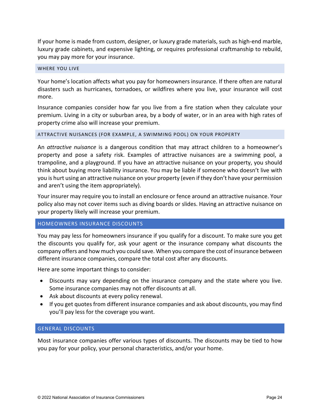If your home is made from custom, designer, or luxury grade materials, such as high-end marble, luxury grade cabinets, and expensive lighting, or requires professional craftmanship to rebuild, you may pay more for your insurance.

## WHERE YOU LIVE

Your home's location affects what you pay for homeowners insurance. If there often are natural disasters such as hurricanes, tornadoes, or wildfires where you live, your insurance will cost more.

Insurance companies consider how far you live from a fire station when they calculate your premium. Living in a city or suburban area, by a body of water, or in an area with high rates of property crime also will increase your premium.

## ATTRACTIVE NUISANCES (FOR EXAMPLE, A SWIMMING POOL) ON YOUR PROPERTY

An *attractive nuisance* is a dangerous condition that may attract children to a homeowner's property and pose a safety risk. Examples of attractive nuisances are a swimming pool, a trampoline, and a playground. If you have an attractive nuisance on your property, you should think about buying more liability insurance. You may be liable if someone who doesn't live with you is hurt using an attractive nuisance on your property (even if they don't have your permission and aren't using the item appropriately).

Your insurer may require you to install an enclosure or fence around an attractive nuisance. Your policy also may not cover items such as diving boards or slides. Having an attractive nuisance on your property likely will increase your premium.

## HOMEOWNERS INSURANCE DISCOUNTS

You may pay less for homeowners insurance if you qualify for a discount. To make sure you get the discounts you qualify for, ask your agent or the insurance company what discounts the company offers and how much you could save. When you compare the cost of insurance between different insurance companies, compare the total cost after any discounts.

Here are some important things to consider:

- Discounts may vary depending on the insurance company and the state where you live. Some insurance companies may not offer discounts at all.
- Ask about discounts at every policy renewal.
- If you get quotes from different insurance companies and ask about discounts, you may find you'll pay less for the coverage you want.

## GENERAL DISCOUNTS

Most insurance companies offer various types of discounts. The discounts may be tied to how you pay for your policy, your personal characteristics, and/or your home.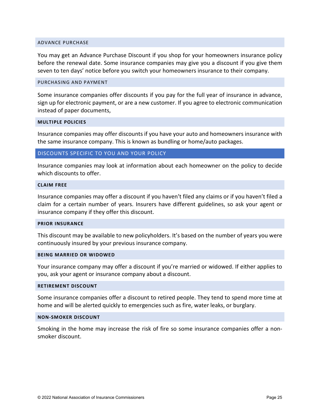#### ADVANCE PURCHASE

You may get an Advance Purchase Discount if you shop for your homeowners insurance policy before the renewal date. Some insurance companies may give you a discount if you give them seven to ten days' notice before you switch your homeowners insurance to their company.

## PURCHASING AND PAYMENT

Some insurance companies offer discounts if you pay for the full year of insurance in advance, sign up for electronic payment, or are a new customer. If you agree to electronic communication instead of paper documents,

## **MULTIPLE POLICIES**

Insurance companies may offer discounts if you have your auto and homeowners insurance with the same insurance company. This is known as bundling or home/auto packages.

## DISCOUNTS SPECIFIC TO YOU AND YOUR POLICY

Insurance companies may look at information about each homeowner on the policy to decide which discounts to offer.

## **CLAIM FREE**

Insurance companies may offer a discount if you haven't filed any claims or if you haven't filed a claim for a certain number of years. Insurers have different guidelines, so ask your agent or insurance company if they offer this discount.

#### **PRIOR INSURANCE**

This discount may be available to new policyholders. It's based on the number of years you were continuously insured by your previous insurance company.

#### **BEING MARRIED OR WIDOWED**

Your insurance company may offer a discount if you're married or widowed. If either applies to you, ask your agent or insurance company about a discount.

#### **RETIREMENT DISCOUNT**

Some insurance companies offer a discount to retired people. They tend to spend more time at home and will be alerted quickly to emergencies such as fire, water leaks, or burglary.

#### **NON-SMOKER DISCOUNT**

Smoking in the home may increase the risk of fire so some insurance companies offer a nonsmoker discount.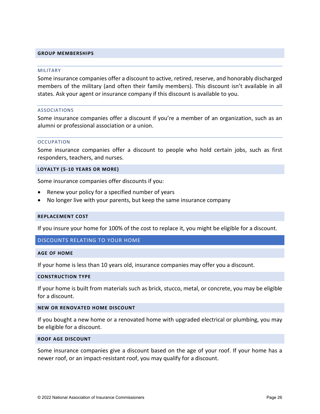## **GROUP MEMBERSHIPS**

#### MILITARY

Some insurance companies offer a discount to active, retired, reserve, and honorably discharged members of the military (and often their family members). This discount isn't available in all states. Ask your agent or insurance company if this discount is available to you.

#### ASSOCIATIONS

Some insurance companies offer a discount if you're a member of an organization, such as an alumni or professional association or a union.

#### **OCCUPATION**

Some insurance companies offer a discount to people who hold certain jobs, such as first responders, teachers, and nurses.

**LOYALTY (5-10 YEARS OR MORE)**

Some insurance companies offer discounts if you:

- Renew your policy for a specified number of years
- No longer live with your parents, but keep the same insurance company

#### **REPLACEMENT COST**

If you insure your home for 100% of the cost to replace it, you might be eligible for a discount.

## DISCOUNTS RELATING TO YOUR HOME

#### **AGE OF HOME**

If your home is less than 10 years old, insurance companies may offer you a discount.

## **CONSTRUCTION TYPE**

If your home is built from materials such as brick, stucco, metal, or concrete, you may be eligible for a discount.

## **NEW OR RENOVATED HOME DISCOUNT**

If you bought a new home or a renovated home with upgraded electrical or plumbing, you may be eligible for a discount.

#### **ROOF AGE DISCOUNT**

Some insurance companies give a discount based on the age of your roof. If your home has a newer roof, or an impact-resistant roof, you may qualify for a discount.